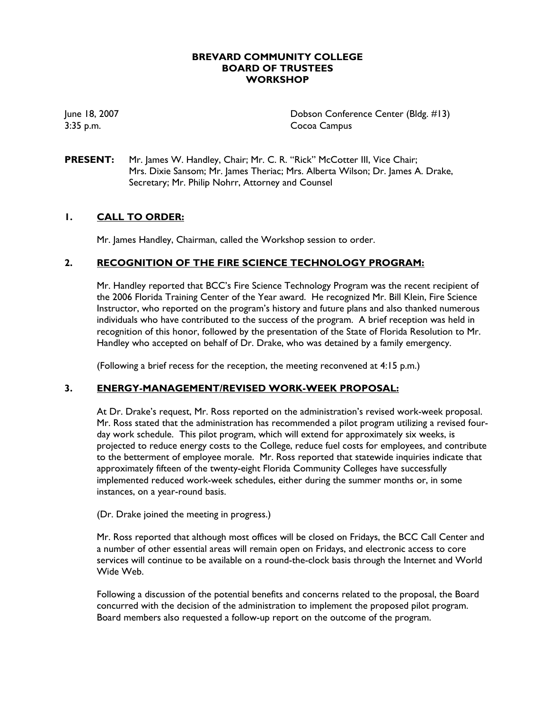## **BREVARD COMMUNITY COLLEGE BOARD OF TRUSTEES WORKSHOP**

June 18, 2007 Dobson Conference Center (Bldg. #13) 3:35 p.m. Cocoa Campus

**PRESENT:** Mr. James W. Handley, Chair; Mr. C. R. "Rick" McCotter III, Vice Chair; Mrs. Dixie Sansom; Mr. James Theriac; Mrs. Alberta Wilson; Dr. James A. Drake, Secretary; Mr. Philip Nohrr, Attorney and Counsel

## **1. CALL TO ORDER:**

Mr. James Handley, Chairman, called the Workshop session to order.

#### **2. RECOGNITION OF THE FIRE SCIENCE TECHNOLOGY PROGRAM:**

Mr. Handley reported that BCC's Fire Science Technology Program was the recent recipient of the 2006 Florida Training Center of the Year award. He recognized Mr. Bill Klein, Fire Science Instructor, who reported on the program's history and future plans and also thanked numerous individuals who have contributed to the success of the program. A brief reception was held in recognition of this honor, followed by the presentation of the State of Florida Resolution to Mr. Handley who accepted on behalf of Dr. Drake, who was detained by a family emergency.

(Following a brief recess for the reception, the meeting reconvened at 4:15 p.m.)

#### **3. ENERGY-MANAGEMENT/REVISED WORK-WEEK PROPOSAL:**

At Dr. Drake's request, Mr. Ross reported on the administration's revised work-week proposal. Mr. Ross stated that the administration has recommended a pilot program utilizing a revised fourday work schedule. This pilot program, which will extend for approximately six weeks, is projected to reduce energy costs to the College, reduce fuel costs for employees, and contribute to the betterment of employee morale. Mr. Ross reported that statewide inquiries indicate that approximately fifteen of the twenty-eight Florida Community Colleges have successfully implemented reduced work-week schedules, either during the summer months or, in some instances, on a year-round basis.

(Dr. Drake joined the meeting in progress.)

Mr. Ross reported that although most offices will be closed on Fridays, the BCC Call Center and a number of other essential areas will remain open on Fridays, and electronic access to core services will continue to be available on a round-the-clock basis through the Internet and World Wide Web.

Following a discussion of the potential benefits and concerns related to the proposal, the Board concurred with the decision of the administration to implement the proposed pilot program. Board members also requested a follow-up report on the outcome of the program.